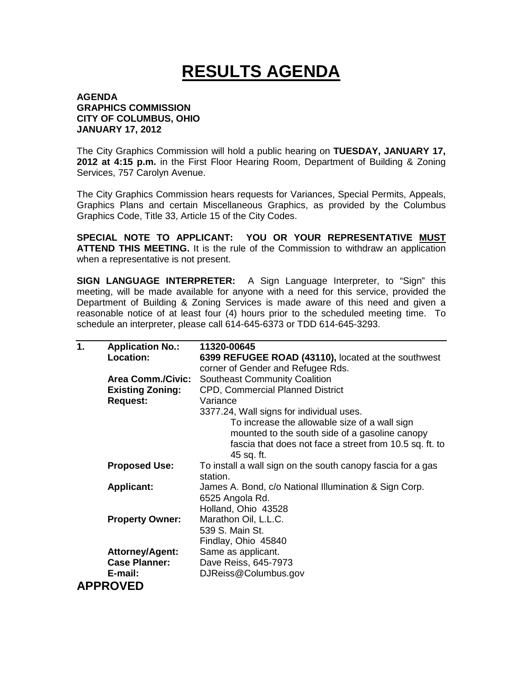## **RESULTS AGENDA**

## **AGENDA GRAPHICS COMMISSION CITY OF COLUMBUS, OHIO JANUARY 17, 2012**

The City Graphics Commission will hold a public hearing on **TUESDAY, JANUARY 17, 2012 at 4:15 p.m.** in the First Floor Hearing Room, Department of Building & Zoning Services, 757 Carolyn Avenue.

The City Graphics Commission hears requests for Variances, Special Permits, Appeals, Graphics Plans and certain Miscellaneous Graphics, as provided by the Columbus Graphics Code, Title 33, Article 15 of the City Codes.

**SPECIAL NOTE TO APPLICANT: YOU OR YOUR REPRESENTATIVE MUST ATTEND THIS MEETING.** It is the rule of the Commission to withdraw an application when a representative is not present.

**SIGN LANGUAGE INTERPRETER:** A Sign Language Interpreter, to "Sign" this meeting, will be made available for anyone with a need for this service, provided the Department of Building & Zoning Services is made aware of this need and given a reasonable notice of at least four (4) hours prior to the scheduled meeting time. To schedule an interpreter, please call 614-645-6373 or TDD 614-645-3293.

| $\mathbf{1}$ . | <b>Application No.:</b>  | 11320-00645                                                 |
|----------------|--------------------------|-------------------------------------------------------------|
|                | <b>Location:</b>         | 6399 REFUGEE ROAD (43110), located at the southwest         |
|                |                          | corner of Gender and Refugee Rds.                           |
|                | <b>Area Comm./Civic:</b> | <b>Southeast Community Coalition</b>                        |
|                | <b>Existing Zoning:</b>  | <b>CPD, Commercial Planned District</b>                     |
|                | <b>Request:</b>          | Variance                                                    |
|                |                          | 3377.24, Wall signs for individual uses.                    |
|                |                          | To increase the allowable size of a wall sign               |
|                |                          | mounted to the south side of a gasoline canopy              |
|                |                          | fascia that does not face a street from 10.5 sq. ft. to     |
|                |                          | 45 sq. ft.                                                  |
|                | <b>Proposed Use:</b>     | To install a wall sign on the south canopy fascia for a gas |
|                |                          | station.                                                    |
|                | <b>Applicant:</b>        | James A. Bond, c/o National Illumination & Sign Corp.       |
|                |                          | 6525 Angola Rd.                                             |
|                |                          | Holland, Ohio 43528                                         |
|                | <b>Property Owner:</b>   | Marathon Oil, L.L.C.                                        |
|                |                          | 539 S. Main St.                                             |
|                |                          | Findlay, Ohio 45840                                         |
|                | <b>Attorney/Agent:</b>   | Same as applicant.                                          |
|                | <b>Case Planner:</b>     | Dave Reiss, 645-7973                                        |
|                | E-mail:                  | DJReiss@Columbus.gov                                        |
|                | <b>APPROVED</b>          |                                                             |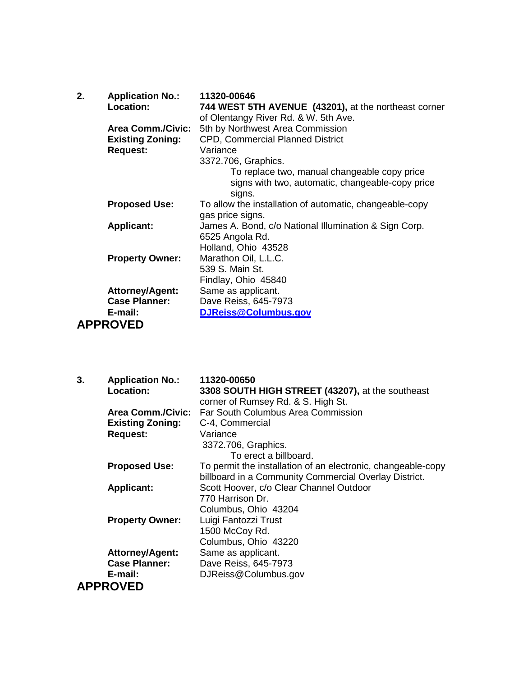| 2.              | <b>Application No.:</b><br>Location: | 11320-00646                                                                                  |
|-----------------|--------------------------------------|----------------------------------------------------------------------------------------------|
|                 |                                      | 744 WEST 5TH AVENUE (43201), at the northeast corner<br>of Olentangy River Rd. & W. 5th Ave. |
|                 | <b>Area Comm./Civic:</b>             | 5th by Northwest Area Commission                                                             |
|                 | <b>Existing Zoning:</b>              | <b>CPD, Commercial Planned District</b>                                                      |
|                 | <b>Request:</b>                      | Variance                                                                                     |
|                 |                                      | 3372.706, Graphics.                                                                          |
|                 |                                      | To replace two, manual changeable copy price                                                 |
|                 |                                      | signs with two, automatic, changeable-copy price<br>signs.                                   |
|                 | <b>Proposed Use:</b>                 | To allow the installation of automatic, changeable-copy                                      |
|                 |                                      | gas price signs.                                                                             |
|                 | <b>Applicant:</b>                    | James A. Bond, c/o National Illumination & Sign Corp.                                        |
|                 |                                      | 6525 Angola Rd.                                                                              |
|                 |                                      | Holland, Ohio 43528                                                                          |
|                 | <b>Property Owner:</b>               | Marathon Oil, L.L.C.                                                                         |
|                 |                                      | 539 S. Main St.                                                                              |
|                 |                                      | Findlay, Ohio 45840                                                                          |
|                 | <b>Attorney/Agent:</b>               | Same as applicant.                                                                           |
|                 | <b>Case Planner:</b>                 | Dave Reiss, 645-7973                                                                         |
|                 | E-mail:                              | DJReiss@Columbus.gov                                                                         |
| <b>APPROVED</b> |                                      |                                                                                              |

| <b>Application No.:</b><br>3. | 11320-00650                                                  |
|-------------------------------|--------------------------------------------------------------|
| Location:                     | 3308 SOUTH HIGH STREET (43207), at the southeast             |
|                               | corner of Rumsey Rd. & S. High St.                           |
| <b>Area Comm./Civic:</b>      | Far South Columbus Area Commission                           |
| <b>Existing Zoning:</b>       | C-4, Commercial                                              |
| <b>Request:</b>               | Variance                                                     |
|                               | 3372.706, Graphics.                                          |
|                               | To erect a billboard.                                        |
| <b>Proposed Use:</b>          | To permit the installation of an electronic, changeable-copy |
|                               | billboard in a Community Commercial Overlay District.        |
| <b>Applicant:</b>             | Scott Hoover, c/o Clear Channel Outdoor                      |
|                               | 770 Harrison Dr.                                             |
|                               | Columbus, Ohio 43204                                         |
| <b>Property Owner:</b>        | Luigi Fantozzi Trust                                         |
|                               | 1500 McCoy Rd.                                               |
|                               | Columbus, Ohio 43220                                         |
| <b>Attorney/Agent:</b>        | Same as applicant.                                           |
| <b>Case Planner:</b>          | Dave Reiss, 645-7973                                         |
| E-mail:                       | DJReiss@Columbus.gov                                         |
| <b>APPROVED</b>               |                                                              |